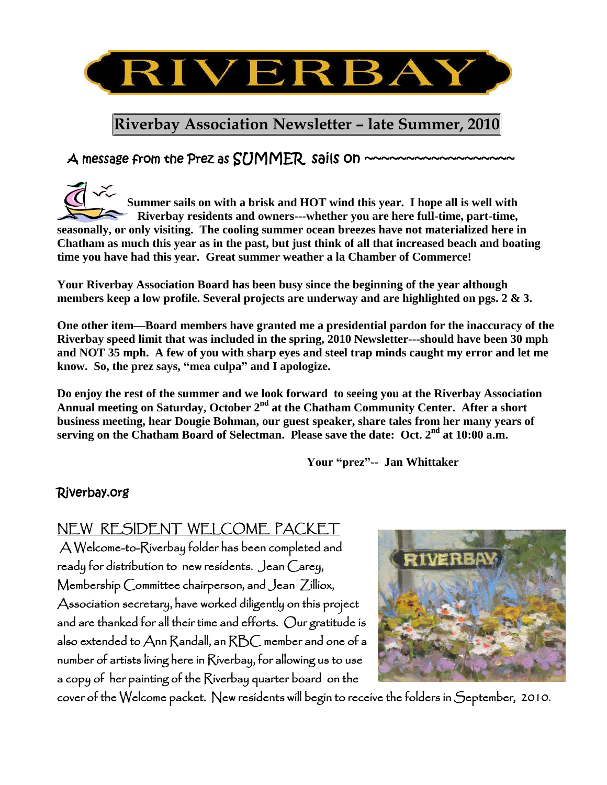

# **Riverbay Association Newsletter – late Summer, 2010**

# $A$  message from the Prez as  $SUMMER$  sails on  $\sim\sim\sim$

**Summer sails on with a brisk and HOT wind this year. I hope all is well with Riverbay residents and owners---whether you are here full-time, part-time, seasonally, or only visiting. The cooling summer ocean breezes have not materialized here in Chatham as much this year as in the past, but just think of all that increased beach and boating time you have had this year. Great summer weather a la Chamber of Commerce!**

**Your Riverbay Association Board has been busy since the beginning of the year although members keep a low profile. Several projects are underway and are highlighted on pgs. 2 & 3.** 

**One other item—Board members have granted me a presidential pardon for the inaccuracy of the Riverbay speed limit that was included in the spring, 2010 Newsletter---should have been 30 mph and NOT 35 mph. A few of you with sharp eyes and steel trap minds caught my error and let me**  know. So, the prez says, "mea culpa" and I apologize.

**Do enjoy the rest of the summer and we look forward to seeing you at the Riverbay Association**  Annual meeting on Saturday, October 2<sup>nd</sup> at the Chatham Community Center. After a short **business meeting, hear Dougie Bohman, our guest speaker, share tales from her many years of serving on the Chatham Board of Selectman. Please save the date: Oct. 2nd at 10:00 a.m.**

Your "prez"-- Jan Whittaker

#### Riverbay.org

## NEW RESIDENT WELCOME PACKET

 A Welcome-to-Riverbay folder has been completed and ready for distribution to new residents. Jean Carey, Membership Committee chairperson, and Jean Zilliox, Association secretary, have worked diligently on this project and are thanked for all their time and efforts. Our gratitude is also extended to Ann Randall, an RBC member and one of a number of artists living here in Riverbay, for allowing us to use a copy of her painting of the Riverbay quarter board on the



cover of the Welcome packet. New residents will begin to receive the folders in September, 2010.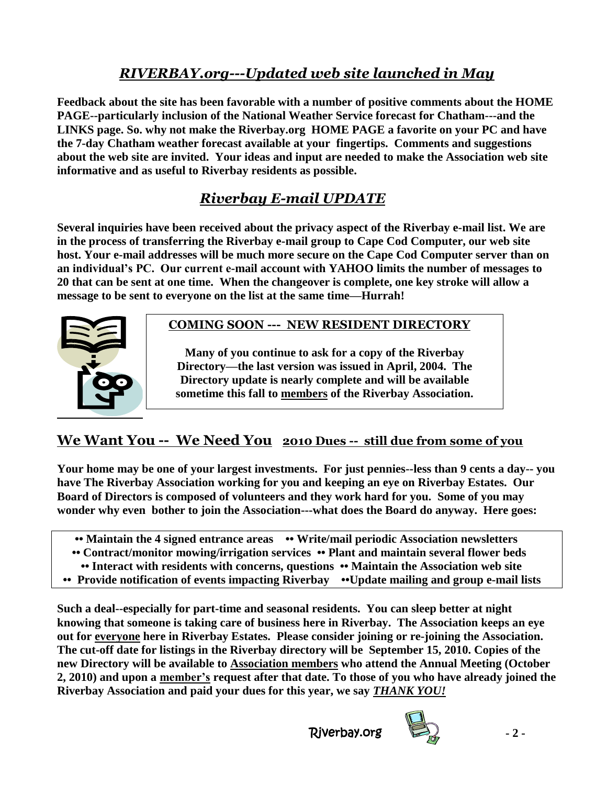# *RIVERBAY.org---Updated web site launched in May*

**Feedback about the site has been favorable with a number of positive comments about the HOME PAGE--particularly inclusion of the National Weather Service forecast for Chatham---and the LINKS page. So. why not make the Riverbay.org HOME PAGE a favorite on your PC and have the 7-day Chatham weather forecast available at your fingertips. Comments and suggestions about the web site are invited. Your ideas and input are needed to make the Association web site informative and as useful to Riverbay residents as possible.** 

# *Riverbay E-mail UPDATE*

**Several inquiries have been received about the privacy aspect of the Riverbay e-mail list. We are in the process of transferring the Riverbay e-mail group to Cape Cod Computer, our web site host. Your e-mail addresses will be much more secure on the Cape Cod Computer server than on an individual's PC. Our current e-mail account with YAHOO limits the number of messages to 20 that can be sent at one time. When the changeover is complete, one key stroke will allow a message to be sent to everyone on the list at the same time—Hurrah!**



### **COMING SOON --- NEW RESIDENT DIRECTORY**

**Many of you continue to ask for a copy of the Riverbay Directory—the last version was issued in April, 2004. The Directory update is nearly complete and will be available sometime this fall to members of the Riverbay Association.**

## **We Want You -- We Need You 2010 Dues -- still due from some of you**

**Your home may be one of your largest investments. For just pennies--less than 9 cents a day-- you have The Riverbay Association working for you and keeping an eye on Riverbay Estates. Our Board of Directors is composed of volunteers and they work hard for you. Some of you may wonder why even bother to join the Association---what does the Board do anyway. Here goes:**

- •• Maintain the 4 signed entrance areas •• Write/mail periodic Association newsletters
- **•• Contract/monitor mowing/irrigation services •• Plant and maintain several flower beds**
- **•• Interact with residents with concerns, questions •• Maintain the Association web site**
- **•• Provide notification of events impacting Riverbay ••Update mailing and group e-mail lists**

**Such a deal--especially for part-time and seasonal residents. You can sleep better at night knowing that someone is taking care of business here in Riverbay. The Association keeps an eye out for everyone here in Riverbay Estates. Please consider joining or re-joining the Association. The cut-off date for listings in the Riverbay directory will be September 15, 2010. Copies of the new Directory will be available to Association members who attend the Annual Meeting (October 2, 2010) and upon a member's request after that date. To those of you who have already joined the Riverbay Association and paid your dues for this year, we say** *THANK YOU!*

Riverbay.org **- 2 -**

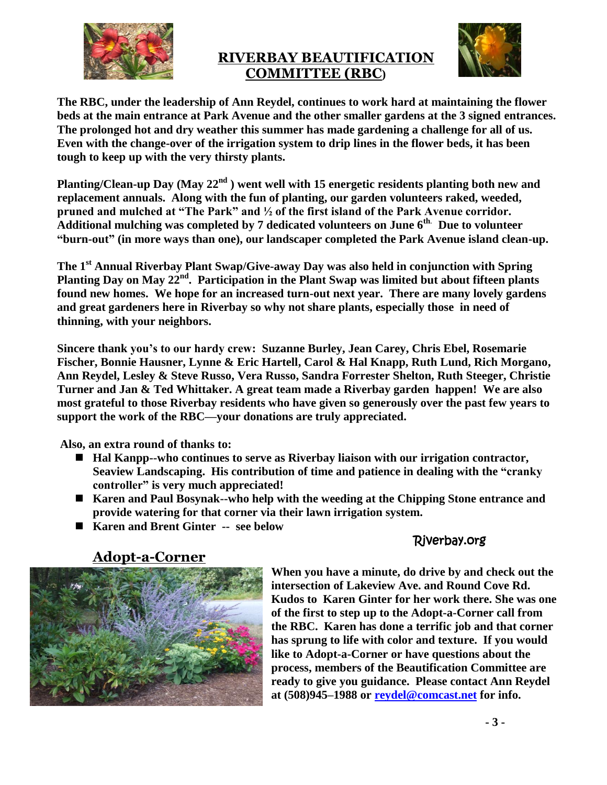

#### **RIVERBAY BEAUTIFICATION COMMITTEE (RBC)**



**The RBC, under the leadership of Ann Reydel, continues to work hard at maintaining the flower beds at the main entrance at Park Avenue and the other smaller gardens at the 3 signed entrances. The prolonged hot and dry weather this summer has made gardening a challenge for all of us. Even with the change-over of the irrigation system to drip lines in the flower beds, it has been tough to keep up with the very thirsty plants.**

**Planting/Clean-up Day (May 22nd ) went well with 15 energetic residents planting both new and replacement annuals. Along with the fun of planting, our garden volunteers raked, weeded,**  pruned and mulched at "The Park" and  $\frac{1}{2}$  of the first island of the Park Avenue corridor. **Additional mulching was completed by 7 dedicated volunteers on June 6th**. **Due to volunteer ―burn-out‖ (in more ways than one), our landscaper completed the Park Avenue island clean-up.**

**The 1st Annual Riverbay Plant Swap/Give-away Day was also held in conjunction with Spring Planting Day on May 22nd . Participation in the Plant Swap was limited but about fifteen plants found new homes. We hope for an increased turn-out next year. There are many lovely gardens and great gardeners here in Riverbay so why not share plants, especially those in need of thinning, with your neighbors.** 

**Sincere thank you's to our hardy crew: Suzanne Burley, Jean Carey, Chris Ebel, Rosemarie Fischer, Bonnie Hausner, Lynne & Eric Hartell, Carol & Hal Knapp, Ruth Lund, Rich Morgano, Ann Reydel, Lesley & Steve Russo, Vera Russo, Sandra Forrester Shelton, Ruth Steeger, Christie Turner and Jan & Ted Whittaker. A great team made a Riverbay garden happen! We are also most grateful to those Riverbay residents who have given so generously over the past few years to support the work of the RBC—your donations are truly appreciated.** 

**Also, an extra round of thanks to:**

- Hal Kanpp--who continues to serve as Riverbay liaison with our irrigation contractor, **Seaview Landscaping.** His contribution of time and patience in dealing with the "cranky" **controller‖ is very much appreciated!**
- **Karen and Paul Bosynak--who help with the weeding at the Chipping Stone entrance and provide watering for that corner via their lawn irrigation system.**
- Karen and Brent Ginter -- see below

### Riverbay.org



**When you have a minute, do drive by and check out the intersection of Lakeview Ave. and Round Cove Rd. Kudos to Karen Ginter for her work there. She was one of the first to step up to the Adopt-a-Corner call from the RBC. Karen has done a terrific job and that corner has sprung to life with color and texture. If you would like to Adopt-a-Corner or have questions about the process, members of the Beautification Committee are ready to give you guidance. Please contact Ann Reydel at (508)945–1988 or [reydel@comcast.net](mailto:reydel@comcast.net) for info.**